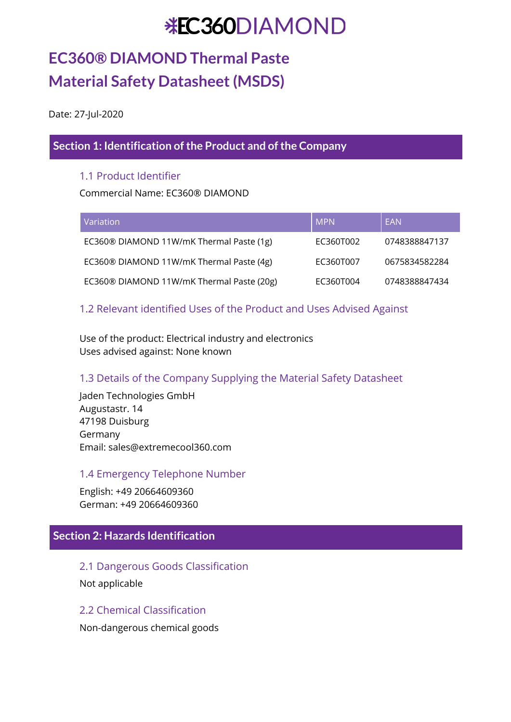# **EC360® DIAMOND Thermal Paste Material Safety Datasheet(MSDS)**

Date: 27-Jul-2020

### **Section 1: Identification of the Product and of the Company**

### 1.1 Product Identifier

Commercial Name: EC360® DIAMOND

| <b>Variation</b>                          | <b>MPN</b> | EAN           |
|-------------------------------------------|------------|---------------|
| EC360® DIAMOND 11W/mK Thermal Paste (1g)  | EC360T002  | 0748388847137 |
| EC360® DIAMOND 11W/mK Thermal Paste (4g)  | EC360T007  | 0675834582284 |
| EC360® DIAMOND 11W/mK Thermal Paste (20g) | EC360T004  | 0748388847434 |

### 1.2 Relevant identified Uses of the Product and Uses Advised Against

Use of the product: Electrical industry and electronics Uses advised against: None known

### 1.3 Details of the Company Supplying the Material Safety Datasheet

Jaden Technologies GmbH Augustastr. 14 47198 Duisburg Germany Email: sales@extremecool360.com

### 1.4 Emergency Telephone Number

English: +49 20664609360 German: +49 20664609360

### **Section 2: Hazards Identification**

2.1 Dangerous Goods Classification Not applicable

### 2.2 Chemical Classification

Non-dangerous chemical goods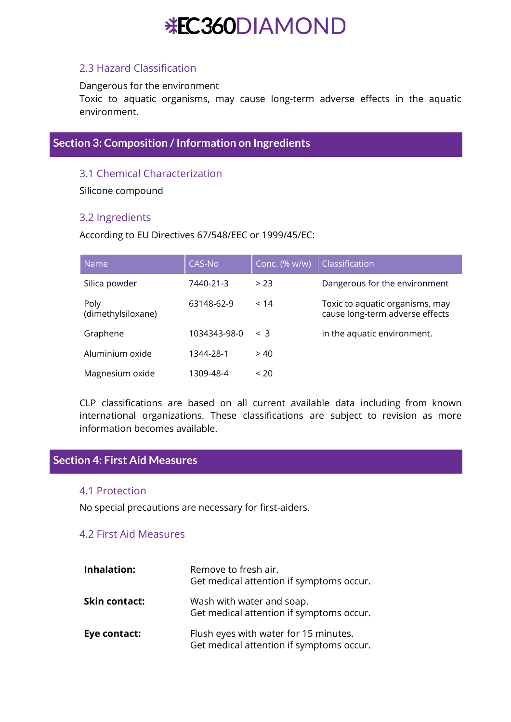### 2.3 Hazard Classification

Dangerous for the environment

Toxic to aquatic organisms, may cause long-term adverse effects in the aquatic environment.

### **Section 3: Composition /Information on Ingredients**

### 3.1 Chemical Characterization

Silicone compound

### 3.2 Ingredients

According to EU Directives 67/548/EEC or 1999/45/EC:

| Name                       | <b>CAS-No</b> | Conc. (% w/w) | Classification                                                     |
|----------------------------|---------------|---------------|--------------------------------------------------------------------|
| Silica powder              | 7440-21-3     | > 23          | Dangerous for the environment                                      |
| Poly<br>(dimethylsiloxane) | 63148-62-9    | < 14          | Toxic to aquatic organisms, may<br>cause long-term adverse effects |
| Graphene                   | 1034343-98-0  | $\leq$ 3      | in the aquatic environment.                                        |
| Aluminium oxide            | 1344-28-1     | > 40          |                                                                    |
| Magnesium oxide            | 1309-48-4     | ~120          |                                                                    |

CLP classifications are based on all current available data including from known international organizations. These classifications are subject to revision as more information becomes available.

### **Section 4: First Aid Measures**

### 4.1 Protection

No special precautions are necessary for first-aiders.

### 4.2 First Aid Measures

| <b>Inhalation:</b>   | Remove to fresh air.<br>Get medical attention if symptoms occur.                  |
|----------------------|-----------------------------------------------------------------------------------|
| <b>Skin contact:</b> | Wash with water and soap.<br>Get medical attention if symptoms occur.             |
| Eye contact:         | Flush eyes with water for 15 minutes.<br>Get medical attention if symptoms occur. |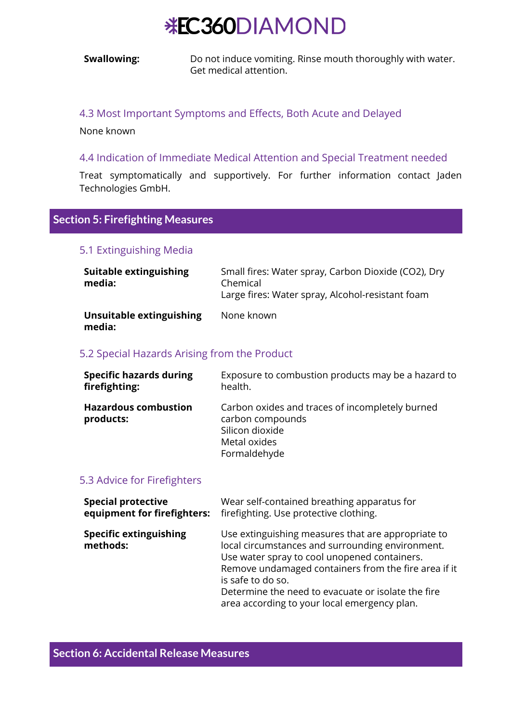**Swallowing:** Do not induce vomiting. Rinse mouth thoroughly with water. Get medical attention.

#### 4.3 Most Important Symptoms and Effects, Both Acute and Delayed

None known

#### 4.4 Indication of Immediate Medical Attention and Special Treatment needed

Treat symptomatically and supportively. For further information contact Jaden Technologies GmbH.

### **Section 5: Firefighting Measures**

#### 5.1 Extinguishing Media

| Suitable extinguishing<br>media:   | Small fires: Water spray, Carbon Dioxide (CO2), Dry<br>Chemical<br>Large fires: Water spray, Alcohol-resistant foam |
|------------------------------------|---------------------------------------------------------------------------------------------------------------------|
| Unsuitable extinguishing<br>media: | None known                                                                                                          |

#### 5.2 Special Hazards Arising from the Product

| <b>Specific hazards during</b>           | Exposure to combustion products may be a hazard to                                                                     |
|------------------------------------------|------------------------------------------------------------------------------------------------------------------------|
| firefighting:                            | health.                                                                                                                |
| <b>Hazardous combustion</b><br>products: | Carbon oxides and traces of incompletely burned<br>carbon compounds<br>Silicon dioxide<br>Metal oxides<br>Formaldehyde |

#### 5.3 Advice for Firefighters

| <b>Special protective</b>                 | Wear self-contained breathing apparatus for                                                                                                                                                                                                                                                                                               |
|-------------------------------------------|-------------------------------------------------------------------------------------------------------------------------------------------------------------------------------------------------------------------------------------------------------------------------------------------------------------------------------------------|
| equipment for firefighters:               | firefighting. Use protective clothing.                                                                                                                                                                                                                                                                                                    |
| <b>Specific extinguishing</b><br>methods: | Use extinguishing measures that are appropriate to<br>local circumstances and surrounding environment.<br>Use water spray to cool unopened containers.<br>Remove undamaged containers from the fire area if it<br>is safe to do so.<br>Determine the need to evacuate or isolate the fire<br>area according to your local emergency plan. |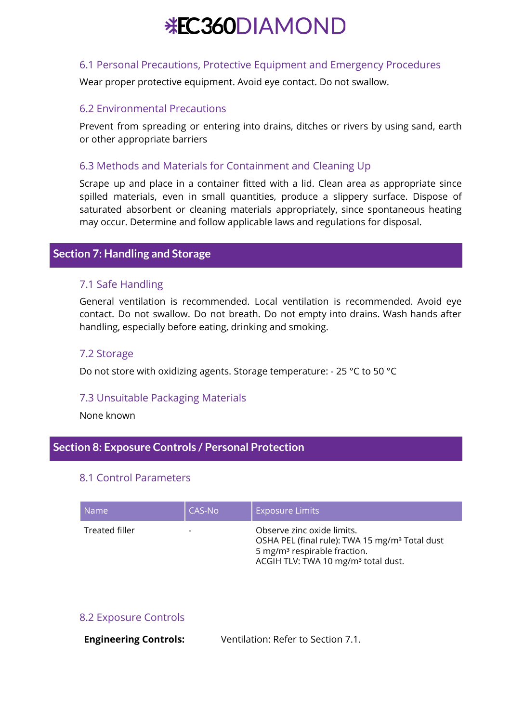### 6.1 Personal Precautions, Protective Equipment and Emergency Procedures

Wear proper protective equipment. Avoid eye contact. Do not swallow.

### 6.2 Environmental Precautions

Prevent from spreading or entering into drains, ditches or rivers by using sand, earth or other appropriate barriers

### 6.3 Methods and Materials for Containment and Cleaning Up

Scrape up and place in a container fitted with a lid. Clean area as appropriate since spilled materials, even in small quantities, produce a slippery surface. Dispose of saturated absorbent or cleaning materials appropriately, since spontaneous heating may occur. Determine and follow applicable laws and regulations for disposal.

### **Section 7: Handling and Storage**

### 7.1 Safe Handling

General ventilation is recommended. Local ventilation is recommended. Avoid eye contact. Do not swallow. Do not breath. Do not empty into drains. Wash hands after handling, especially before eating, drinking and smoking.

### 7.2 Storage

Do not store with oxidizing agents. Storage temperature: - 25 °C to 50 °C

### 7.3 Unsuitable Packaging Materials

None known

### **Section 8: Exposure Controls / Personal Protection**

### 8.1 Control Parameters

| Name:          | CAS-No                   | <b>Exposure Limits</b>                                                                                                                                                                  |
|----------------|--------------------------|-----------------------------------------------------------------------------------------------------------------------------------------------------------------------------------------|
| Treated filler | $\overline{\phantom{0}}$ | Observe zinc oxide limits.<br>OSHA PEL (final rule): TWA 15 mg/m <sup>3</sup> Total dust<br>5 mg/m <sup>3</sup> respirable fraction.<br>ACGIH TLV: TWA 10 mg/m <sup>3</sup> total dust. |

### 8.2 Exposure Controls

**Engineering Controls:** Ventilation: Refer to Section 7.1.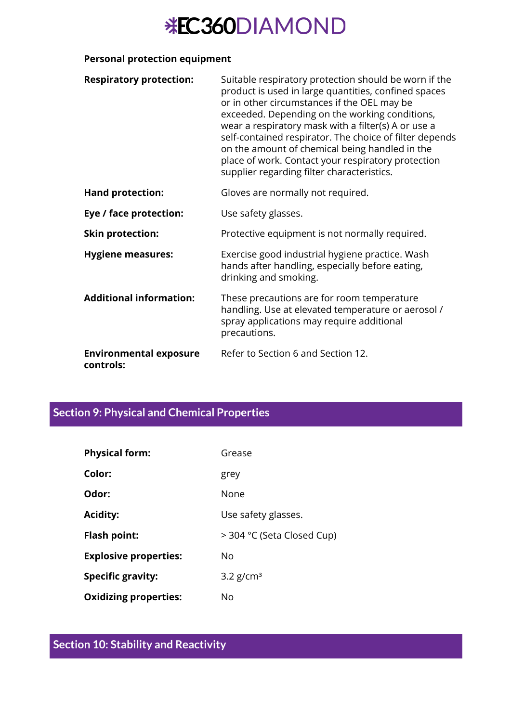### **Personal protection equipment**

| <b>Respiratory protection:</b>             | Suitable respiratory protection should be worn if the<br>product is used in large quantities, confined spaces<br>or in other circumstances if the OEL may be<br>exceeded. Depending on the working conditions,<br>wear a respiratory mask with a filter(s) A or use a<br>self-contained respirator. The choice of filter depends<br>on the amount of chemical being handled in the<br>place of work. Contact your respiratory protection<br>supplier regarding filter characteristics. |
|--------------------------------------------|----------------------------------------------------------------------------------------------------------------------------------------------------------------------------------------------------------------------------------------------------------------------------------------------------------------------------------------------------------------------------------------------------------------------------------------------------------------------------------------|
| <b>Hand protection:</b>                    | Gloves are normally not required.                                                                                                                                                                                                                                                                                                                                                                                                                                                      |
| Eye / face protection:                     | Use safety glasses.                                                                                                                                                                                                                                                                                                                                                                                                                                                                    |
| <b>Skin protection:</b>                    | Protective equipment is not normally required.                                                                                                                                                                                                                                                                                                                                                                                                                                         |
| <b>Hygiene measures:</b>                   | Exercise good industrial hygiene practice. Wash<br>hands after handling, especially before eating,<br>drinking and smoking.                                                                                                                                                                                                                                                                                                                                                            |
| <b>Additional information:</b>             | These precautions are for room temperature<br>handling. Use at elevated temperature or aerosol /<br>spray applications may require additional<br>precautions.                                                                                                                                                                                                                                                                                                                          |
| <b>Environmental exposure</b><br>controls: | Refer to Section 6 and Section 12.                                                                                                                                                                                                                                                                                                                                                                                                                                                     |

## **Section 9: Physical and Chemical Properties**

| <b>Physical form:</b>        | Grease                     |
|------------------------------|----------------------------|
| Color:                       | grey                       |
| Odor:                        | None                       |
| <b>Acidity:</b>              | Use safety glasses.        |
| <b>Flash point:</b>          | > 304 °C (Seta Closed Cup) |
| <b>Explosive properties:</b> | No                         |
| <b>Specific gravity:</b>     | $3.2$ g/cm <sup>3</sup>    |
| <b>Oxidizing properties:</b> | No                         |

# **Section 10: Stability and Reactivity**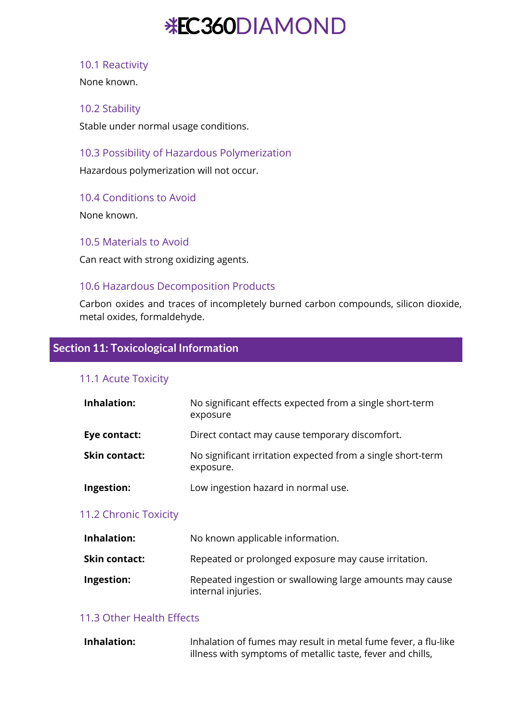### 10.1 Reactivity

None known.

### 10.2 Stability

Stable under normal usage conditions.

### 10.3 Possibility of Hazardous Polymerization

Hazardous polymerization will not occur.

### 10.4 Conditions to Avoid

None known.

10.5 Materials to Avoid

Can react with strong oxidizing agents.

### 10.6 Hazardous Decomposition Products

Carbon oxides and traces of incompletely burned carbon compounds, silicon dioxide, metal oxides, formaldehyde.

### **Section 11: Toxicological Information**

### 11.1 Acute Toxicity

| Inhalation:          | No significant effects expected from a single short-term<br>exposure     |
|----------------------|--------------------------------------------------------------------------|
| Eye contact:         | Direct contact may cause temporary discomfort.                           |
| <b>Skin contact:</b> | No significant irritation expected from a single short-term<br>exposure. |
| Ingestion:           | Low ingestion hazard in normal use.                                      |

### 11.2 Chronic Toxicity

| Inhalation:          | No known applicable information.                                               |
|----------------------|--------------------------------------------------------------------------------|
| <b>Skin contact:</b> | Repeated or prolonged exposure may cause irritation.                           |
| Ingestion:           | Repeated ingestion or swallowing large amounts may cause<br>internal injuries. |

### 11.3 Other Health Effects

| <b>Inhalation:</b> | Inhalation of fumes may result in metal fume fever, a flu-like |
|--------------------|----------------------------------------------------------------|
|                    | illness with symptoms of metallic taste, fever and chills,     |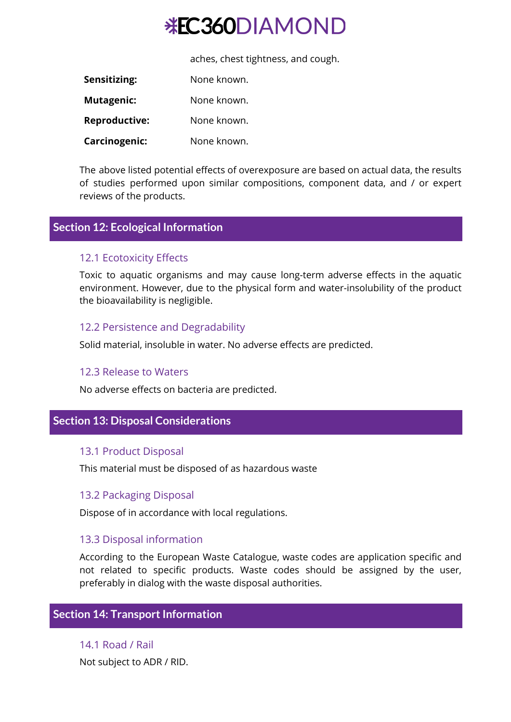aches, chest tightness, and cough.

| Sensitizing:         | None known. |
|----------------------|-------------|
| Mutagenic:           | None known. |
| <b>Reproductive:</b> | None known. |
| Carcinogenic:        | None known. |

The above listed potential effects of overexposure are based on actual data, the results of studies performed upon similar compositions, component data, and / or expert reviews of the products.

### **Section 12: Ecological Information**

### 12.1 Ecotoxicity Effects

Toxic to aquatic organisms and may cause long-term adverse effects in the aquatic environment. However, due to the physical form and water-insolubility of the product the bioavailability is negligible.

### 12.2 Persistence and Degradability

Solid material, insoluble in water. No adverse effects are predicted.

### 12.3 Release to Waters

No adverse effects on bacteria are predicted.

### **Section 13: Disposal Considerations**

### 13.1 Product Disposal

This material must be disposed of as hazardous waste

### 13.2 Packaging Disposal

Dispose of in accordance with local regulations.

### 13.3 Disposal information

According to the European Waste Catalogue, waste codes are application specific and not related to specific products. Waste codes should be assigned by the user, preferably in dialog with the waste disposal authorities.

### **Section 14: Transport Information**

14.1 Road / Rail Not subject to ADR / RID.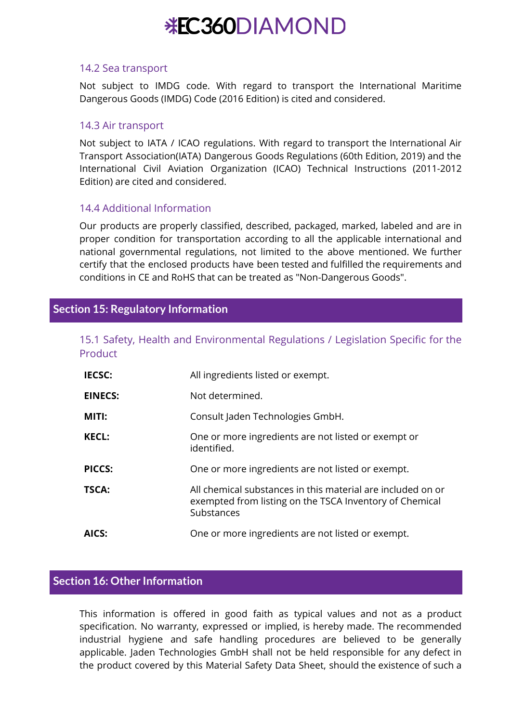#### 14.2 Sea transport

Not subject to IMDG code. With regard to transport the International Maritime Dangerous Goods (IMDG) Code (2016 Edition) is cited and considered.

### 14.3 Air transport

Not subject to IATA / ICAO regulations. With regard to transport the International Air Transport Association(IATA) Dangerous Goods Regulations (60th Edition, 2019) and the International Civil Aviation Organization (ICAO) Technical Instructions (2011-2012 Edition) are cited and considered.

### 14.4 Additional Information

Our products are properly classified, described, packaged, marked, labeled and are in proper condition for transportation according to all the applicable international and national governmental regulations, not limited to the above mentioned. We further certify that the enclosed products have been tested and fulfilled the requirements and conditions in CE and RoHS that can be treated as "Non-Dangerous Goods".

### **Section 15: Regulatory Information**

|         |  | 15.1 Safety, Health and Environmental Regulations / Legislation Specific for the |  |  |
|---------|--|----------------------------------------------------------------------------------|--|--|
| Product |  |                                                                                  |  |  |

| <b>IECSC:</b>  | All ingredients listed or exempt.                                                                                                    |
|----------------|--------------------------------------------------------------------------------------------------------------------------------------|
| <b>EINECS:</b> | Not determined.                                                                                                                      |
| MITI:          | Consult Jaden Technologies GmbH.                                                                                                     |
| <b>KECL:</b>   | One or more ingredients are not listed or exempt or<br>identified.                                                                   |
| <b>PICCS:</b>  | One or more ingredients are not listed or exempt.                                                                                    |
| TSCA:          | All chemical substances in this material are included on or<br>exempted from listing on the TSCA Inventory of Chemical<br>Substances |
| AICS:          | One or more ingredients are not listed or exempt.                                                                                    |

### **Section 16: Other Information**

This information is offered in good faith as typical values and not as a product specification. No warranty, expressed or implied, is hereby made. The recommended industrial hygiene and safe handling procedures are believed to be generally applicable. Jaden Technologies GmbH shall not be held responsible for any defect in the product covered by this Material Safety Data Sheet, should the existence of such a